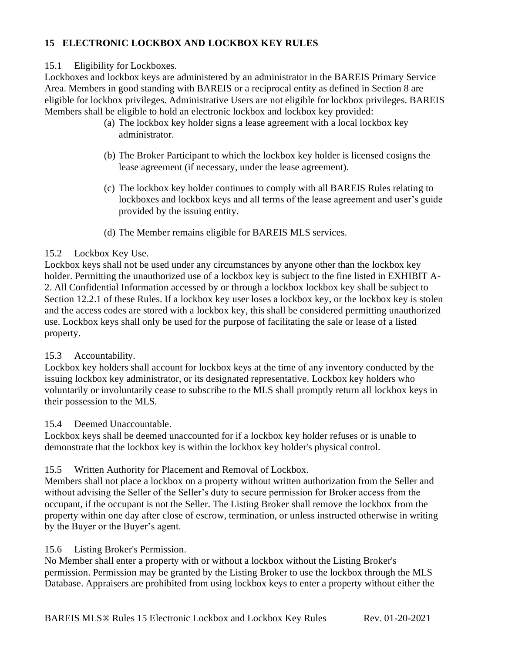# **15 ELECTRONIC LOCKBOX AND LOCKBOX KEY RULES**

## 15.1 Eligibility for Lockboxes.

Lockboxes and lockbox keys are administered by an administrator in the BAREIS Primary Service Area. Members in good standing with BAREIS or a reciprocal entity as defined in Section 8 are eligible for lockbox privileges. Administrative Users are not eligible for lockbox privileges. BAREIS Members shall be eligible to hold an electronic lockbox and lockbox key provided:

- (a) The lockbox key holder signs a lease agreement with a local lockbox key administrator.
- (b) The Broker Participant to which the lockbox key holder is licensed cosigns the lease agreement (if necessary, under the lease agreement).
- (c) The lockbox key holder continues to comply with all BAREIS Rules relating to lockboxes and lockbox keys and all terms of the lease agreement and user's guide provided by the issuing entity.
- (d) The Member remains eligible for BAREIS MLS services.

## 15.2 Lockbox Key Use.

Lockbox keys shall not be used under any circumstances by anyone other than the lockbox key holder. Permitting the unauthorized use of a lockbox key is subject to the fine listed in EXHIBIT A-2. All Confidential Information accessed by or through a lockbox lockbox key shall be subject to Section 12.2.1 of these Rules. If a lockbox key user loses a lockbox key, or the lockbox key is stolen and the access codes are stored with a lockbox key, this shall be considered permitting unauthorized use. Lockbox keys shall only be used for the purpose of facilitating the sale or lease of a listed property.

# 15.3 Accountability.

Lockbox key holders shall account for lockbox keys at the time of any inventory conducted by the issuing lockbox key administrator, or its designated representative. Lockbox key holders who voluntarily or involuntarily cease to subscribe to the MLS shall promptly return all lockbox keys in their possession to the MLS.

# 15.4 Deemed Unaccountable.

Lockbox keys shall be deemed unaccounted for if a lockbox key holder refuses or is unable to demonstrate that the lockbox key is within the lockbox key holder's physical control.

# 15.5 Written Authority for Placement and Removal of Lockbox.

Members shall not place a lockbox on a property without written authorization from the Seller and without advising the Seller of the Seller's duty to secure permission for Broker access from the occupant, if the occupant is not the Seller. The Listing Broker shall remove the lockbox from the property within one day after close of escrow, termination, or unless instructed otherwise in writing by the Buyer or the Buyer's agent.

### 15.6 Listing Broker's Permission.

No Member shall enter a property with or without a lockbox without the Listing Broker's permission. Permission may be granted by the Listing Broker to use the lockbox through the MLS Database. Appraisers are prohibited from using lockbox keys to enter a property without either the